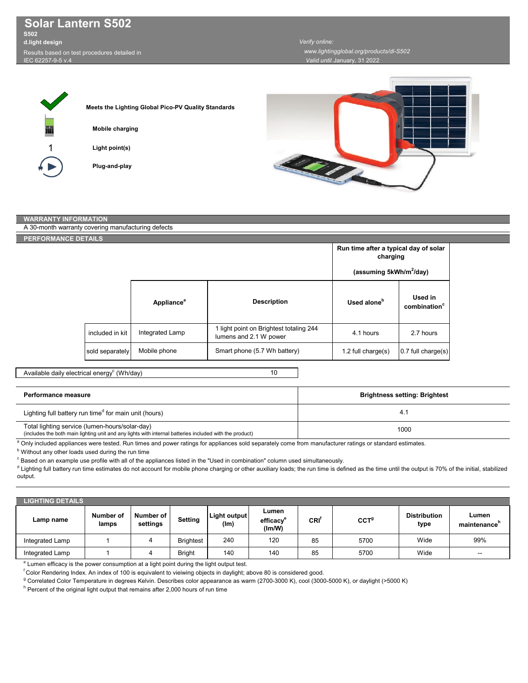**Solar Lantern S502 S502**

Results based on test procedures detailed in **d.light design**

IEC 62257-9-5 v.4

 *www.lightingglobal.org/products/dl-S502 Verify online:* 

*Valid until:*January, 31 2022

1

**Light point(s) Mobile charging Plug-and-play Meets the Lighting Global Pico-PV Quality Standards**



## A 30-month warranty covering manufacturing defects **WARRANTY INFORMATION**

**RFORMANCE D** 

| <b>ETAILS</b>   |                        |                                                                   |                                                   |                                     |  |
|-----------------|------------------------|-------------------------------------------------------------------|---------------------------------------------------|-------------------------------------|--|
|                 |                        |                                                                   | Run time after a typical day of solar<br>charging |                                     |  |
|                 |                        |                                                                   | (assuming 5kWh/m <sup>2</sup> /day)               |                                     |  |
|                 | Appliance <sup>a</sup> | <b>Description</b>                                                | Used alone <sup>b</sup>                           | Used in<br>combination <sup>c</sup> |  |
| included in kit | Integrated Lamp        | 1 light point on Brightest totaling 244<br>lumens and 2.1 W power | 4.1 hours                                         | 2.7 hours                           |  |
| sold separately | Mobile phone           | Smart phone (5.7 Wh battery)                                      | 1.2 full charge $(s)$                             | 0.7 full charge(s)                  |  |

## Available daily electrical energy $^{\rm c}$  (Wh/day)

| Performance measure                                                                                                                                       | <b>Brightness setting: Brightest</b> |
|-----------------------------------------------------------------------------------------------------------------------------------------------------------|--------------------------------------|
| Lighting full battery run time <sup>d</sup> for main unit (hours)                                                                                         | 4.1                                  |
| Total lighting service (lumen-hours/solar-day)<br>(includes the both main lighting unit and any lights with internal batteries included with the product) | 1000                                 |

a Only included appliances were tested. Run times and power ratings for appliances sold separately come from manufacturer ratings or standard estimates.

**b** Without any other loads used during the run time

 $^\circ$  Based on an example use profile with all of the appliances listed in the "Used in combination" column used simultaneously.

d Lighting full battery run time estimates do not account for mobile phone charging or other auxiliary loads; the run time is defined as the time until the output is 70% of the initial, stabilized output.

| <b>LIGHTING DETAILS</b> |                    |                       |                  |                      |                                          |      |                  |                             |                       |
|-------------------------|--------------------|-----------------------|------------------|----------------------|------------------------------------------|------|------------------|-----------------------------|-----------------------|
| Lamp name               | Number of<br>lamps | Number of<br>settings | <b>Setting</b>   | Light output<br>(lm) | Lumen<br>efficacy <sup>e</sup><br>(Im/W) | CRI' | CCT <sup>9</sup> | <b>Distribution</b><br>type | Lumen<br>maintenance' |
| Integrated Lamp         |                    |                       | <b>Brightest</b> | 240                  | 120                                      | 85   | 5700             | Wide                        | 99%                   |
| Integrated Lamp         |                    |                       | <b>Bright</b>    | 140                  | 140                                      | 85   | 5700             | Wide                        | $\sim$                |

<sup>e</sup> Lumen efficacy is the power consumption at a light point during the light output test.

f Color Rendering Index. An index of 100 is equivalent to vieiwing objects in daylight; above 80 is considered good.

<sup>g</sup> Correlated Color Temperature in degrees Kelvin. Describes color appearance as warm (2700-3000 K), cool (3000-5000 K), or daylight (>5000 K)

 $^{\mathsf{h}}$  Percent of the original light output that remains after 2,000 hours of run time